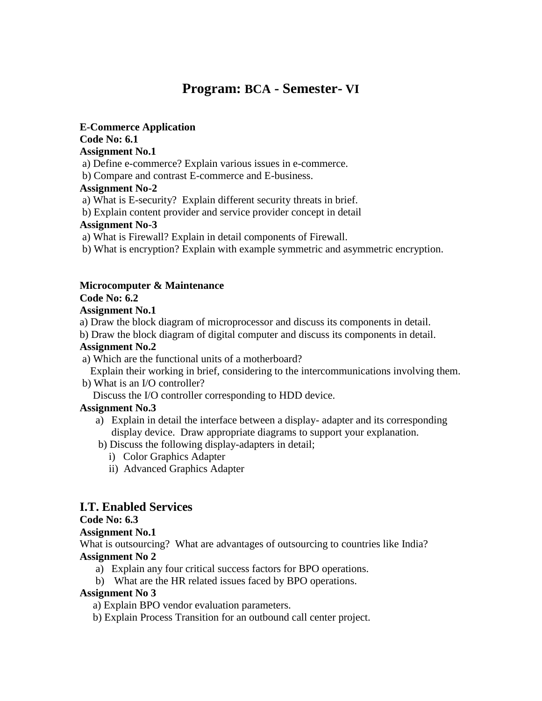# **Program: BCA - Semester- VI**

#### **E-Commerce Application**

#### **Code No: 6.1**

#### **Assignment No.1**

- a) Define e-commerce? Explain various issues in e-commerce.
- b) Compare and contrast E-commerce and E-business.

#### **Assignment No-2**

- a) What is E-security? Explain different security threats in brief.
- b) Explain content provider and service provider concept in detail

#### **Assignment No-3**

- a) What is Firewall? Explain in detail components of Firewall.
- b) What is encryption? Explain with example symmetric and asymmetric encryption.

#### **Microcomputer & Maintenance**

#### **Code No: 6.2**

#### **Assignment No.1**

- a) Draw the block diagram of microprocessor and discuss its components in detail.
- b) Draw the block diagram of digital computer and discuss its components in detail.

#### **Assignment No.2**

a) Which are the functional units of a motherboard?

Explain their working in brief, considering to the intercommunications involving them.

b) What is an I/O controller?

Discuss the I/O controller corresponding to HDD device.

### **Assignment No.3**

- a) Explain in detail the interface between a display- adapter and its corresponding display device. Draw appropriate diagrams to support your explanation.
- b) Discuss the following display-adapters in detail;
	- i) Color Graphics Adapter
	- ii) Advanced Graphics Adapter

## **I.T. Enabled Services**

### **Code No: 6.3**

### **Assignment No.1**

What is outsourcing? What are advantages of outsourcing to countries like India? **Assignment No 2**

- a) Explain any four critical success factors for BPO operations.
- b) What are the HR related issues faced by BPO operations.

### **Assignment No 3**

- a) Explain BPO vendor evaluation parameters.
- b) Explain Process Transition for an outbound call center project.